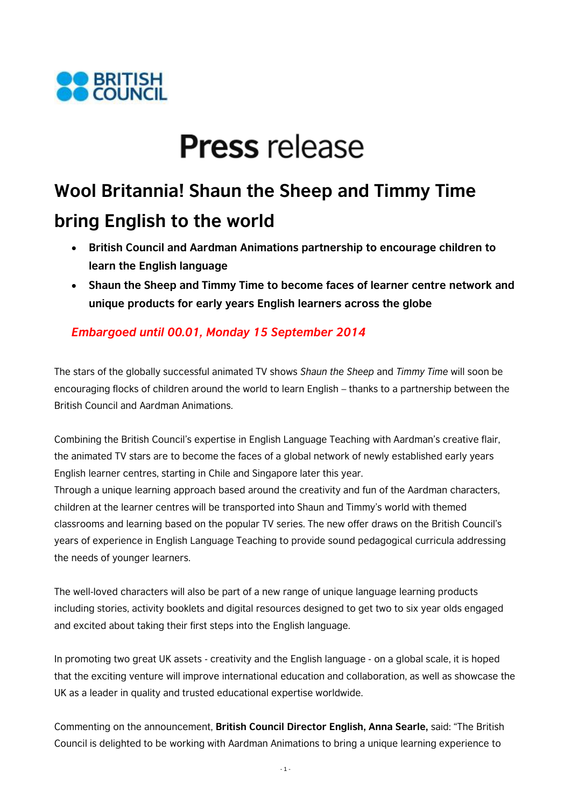

# **Press** release

## **Wool Britannia! Shaun the Sheep and Timmy Time bring English to the world**

- **British Council and Aardman Animations partnership to encourage children to learn the English language**
- **Shaun the Sheep and Timmy Time to become faces of learner centre network and unique products for early years English learners across the globe**

### *Embargoed until 00.01, Monday 15 September 2014*

The stars of the globally successful animated TV shows *Shaun the Sheep* and *Timmy Time* will soon be encouraging flocks of children around the world to learn English – thanks to a partnership between the British Council and Aardman Animations.

Combining the British Council's expertise in English Language Teaching with Aardman's creative flair, the animated TV stars are to become the faces of a global network of newly established early years English learner centres, starting in Chile and Singapore later this year.

Through a unique learning approach based around the creativity and fun of the Aardman characters, children at the learner centres will be transported into Shaun and Timmy's world with themed classrooms and learning based on the popular TV series. The new offer draws on the British Council's years of experience in English Language Teaching to provide sound pedagogical curricula addressing the needs of younger learners.

The well-loved characters will also be part of a new range of unique language learning products including stories, activity booklets and digital resources designed to get two to six year olds engaged and excited about taking their first steps into the English language.

In promoting two great UK assets - creativity and the English language - on a global scale, it is hoped that the exciting venture will improve international education and collaboration, as well as showcase the UK as a leader in quality and trusted educational expertise worldwide.

Commenting on the announcement, **British Council Director English, Anna Searle,** said: "The British Council is delighted to be working with Aardman Animations to bring a unique learning experience to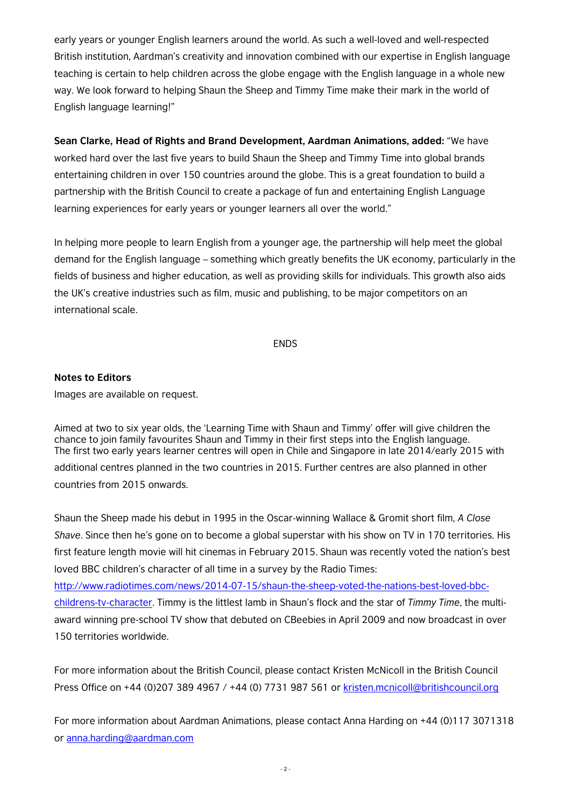early years or younger English learners around the world. As such a well-loved and well-respected British institution, Aardman's creativity and innovation combined with our expertise in English language teaching is certain to help children across the globe engage with the English language in a whole new way. We look forward to helping Shaun the Sheep and Timmy Time make their mark in the world of English language learning!"

**Sean Clarke, Head of Rights and Brand Development, Aardman Animations, added:** "We have worked hard over the last five years to build Shaun the Sheep and Timmy Time into global brands entertaining children in over 150 countries around the globe. This is a great foundation to build a partnership with the British Council to create a package of fun and entertaining English Language learning experiences for early years or younger learners all over the world."

In helping more people to learn English from a younger age, the partnership will help meet the global demand for the English language – something which greatly benefits the UK economy, particularly in the fields of business and higher education, as well as providing skills for individuals. This growth also aids the UK's creative industries such as film, music and publishing, to be major competitors on an international scale.

#### ENDS

#### **Notes to Editors**

Images are available on request.

Aimed at two to six year olds, the 'Learning Time with Shaun and Timmy' offer will give children the chance to join family favourites Shaun and Timmy in their first steps into the English language. The first two early years learner centres will open in Chile and Singapore in late 2014/early 2015 with additional centres planned in the two countries in 2015. Further centres are also planned in other countries from 2015 onwards.

Shaun the Sheep made his debut in 1995 in the Oscar-winning Wallace & Gromit short film, *A Close Shave*. Since then he's gone on to become a global superstar with his show on TV in 170 territories. His first feature length movie will hit cinemas in February 2015. Shaun was recently voted the nation's best loved BBC children's character of all time in a survey by the Radio Times:

[http://www.radiotimes.com/news/2014-07-15/shaun-the-sheep-voted-the-nations-best-loved-bbc](http://www.radiotimes.com/news/2014-07-15/shaun-the-sheep-voted-the-nations-best-loved-bbc-childrens-tv-character)[childrens-tv-character.](http://www.radiotimes.com/news/2014-07-15/shaun-the-sheep-voted-the-nations-best-loved-bbc-childrens-tv-character) Timmy is the littlest lamb in Shaun's flock and the star of *Timmy Time*, the multiaward winning pre-school TV show that debuted on CBeebies in April 2009 and now broadcast in over 150 territories worldwide.

For more information about the British Council, please contact Kristen McNicoll in the British Council Press Office on +44 (0)207 389 4967 / +44 (0) 7731 987 561 or [kristen.mcnicoll@britishcouncil.org](mailto:kristen.mcnicoll@britishcouncil.org)

For more information about Aardman Animations, please contact Anna Harding on +44 (0)117 3071318 or [anna.harding@aardman.com](mailto:anna.harding@aardman.com)